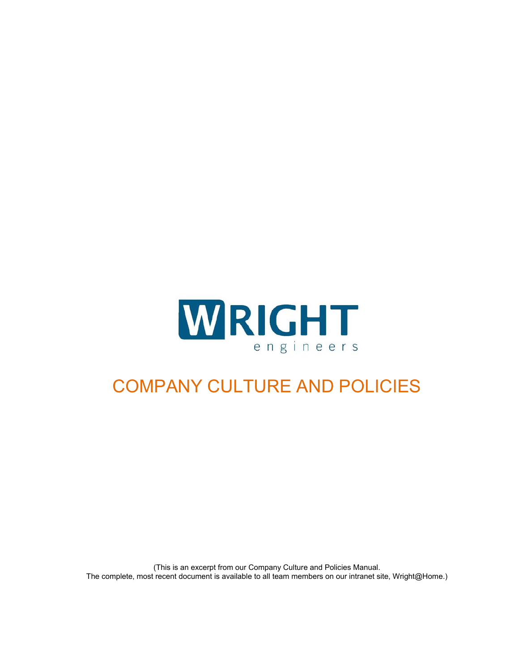

# COMPANY CULTURE AND POLICIES

(This is an excerpt from our Company Culture and Policies Manual. The complete, most recent document is available to all team members on our intranet site, Wright@Home.)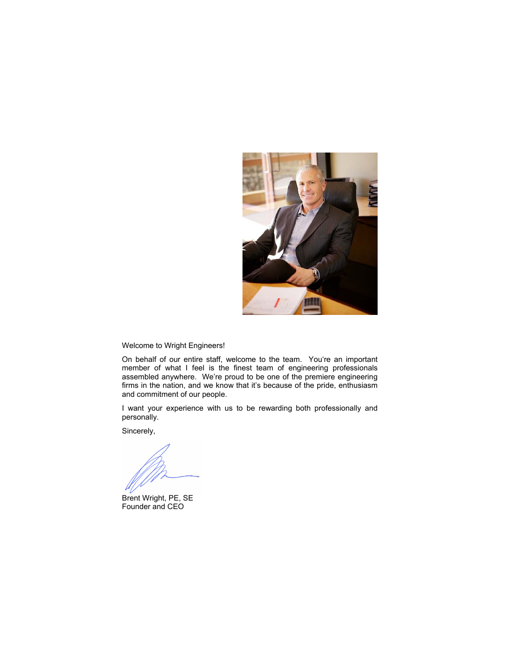

Welcome to Wright Engineers!

On behalf of our entire staff, welcome to the team. You're an important member of what I feel is the finest team of engineering professionals assembled anywhere. We're proud to be one of the premiere engineering firms in the nation, and we know that it's because of the pride, enthusiasm and commitment of our people.

I want your experience with us to be rewarding both professionally and personally.

Sincerely,

Brent Wright, PE, SE Founder and CEO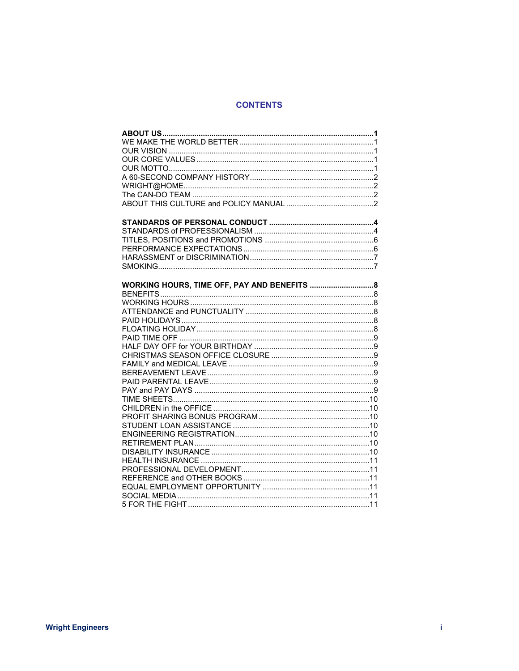### **CONTENTS**

| WORKING HOURS, TIME OFF, PAY AND BENEFITS  8 |
|----------------------------------------------|
|                                              |
|                                              |
|                                              |
|                                              |
|                                              |
|                                              |
|                                              |
|                                              |
|                                              |
|                                              |
|                                              |
|                                              |
|                                              |
|                                              |
|                                              |
|                                              |
|                                              |
|                                              |
|                                              |
|                                              |
|                                              |
|                                              |
|                                              |
|                                              |
|                                              |
|                                              |
|                                              |
|                                              |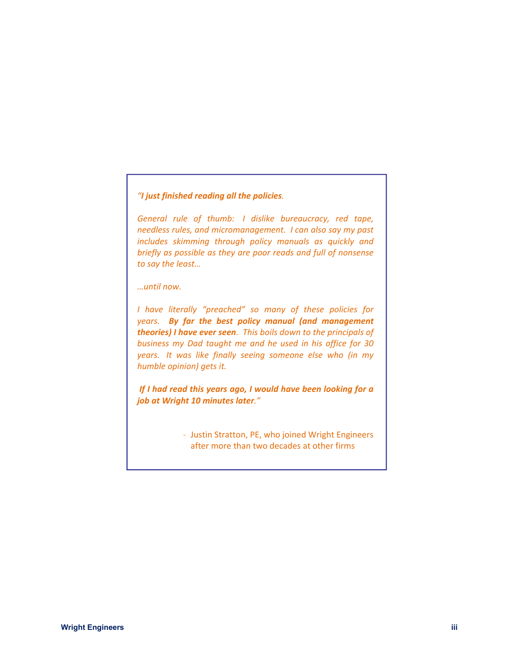### *"I just finished reading all the policies.*

*General rule of thumb: I dislike bureaucracy, red tape, needless rules, and micromanagement. I can also say my past includes skimming through policy manuals as quickly and briefly as possible as they are poor reads and full of nonsense to say the least…* 

*…until now.* 

*I have literally "preached" so many of these policies for years.* By far the best policy manual (and management *theories) I have ever seen. This boils down to the principals of business my Dad taught me and he used in his office for 30 years. It was like finally seeing someone else who (in my humble opinion) gets it.* 

 *If I had read this years ago, I would have been looking for a job at Wright 10 minutes later."*

> ‐ Justin Stratton, PE, who joined Wright Engineers after more than two decades at other firms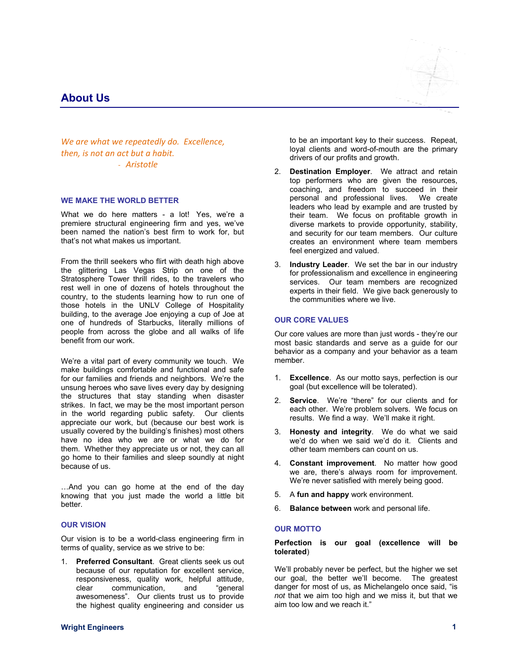### **About Us**

*We are what we repeatedly do. Excellence, then, is not an act but a habit.*  ‐ *Aristotle*

#### **WE MAKE THE WORLD BETTER**

What we do here matters - a lot! Yes, we're a premiere structural engineering firm and yes, we've been named the nation's best firm to work for, but that's not what makes us important.

From the thrill seekers who flirt with death high above the glittering Las Vegas Strip on one of the Stratosphere Tower thrill rides, to the travelers who rest well in one of dozens of hotels throughout the country, to the students learning how to run one of those hotels in the UNLV College of Hospitality building, to the average Joe enjoying a cup of Joe at one of hundreds of Starbucks, literally millions of people from across the globe and all walks of life benefit from our work.

We're a vital part of every community we touch. We make buildings comfortable and functional and safe for our families and friends and neighbors. We're the unsung heroes who save lives every day by designing the structures that stay standing when disaster strikes. In fact, we may be the most important person in the world regarding public safety. Our clients appreciate our work, but (because our best work is usually covered by the building's finishes) most others have no idea who we are or what we do for them. Whether they appreciate us or not, they can all go home to their families and sleep soundly at night because of us.

…And you can go home at the end of the day knowing that you just made the world a little bit better.

#### **OUR VISION**

Our vision is to be a world-class engineering firm in terms of quality, service as we strive to be:

1. **Preferred Consultant**. Great clients seek us out because of our reputation for excellent service, responsiveness, quality work, helpful attitude, clear communication, and "general awesomeness". Our clients trust us to provide the highest quality engineering and consider us



to be an important key to their success. Repeat, loyal clients and word-of-mouth are the primary drivers of our profits and growth.

- 2. **Destination Employer**. We attract and retain top performers who are given the resources, coaching, and freedom to succeed in their personal and professional lives. We create leaders who lead by example and are trusted by their team. We focus on profitable growth in diverse markets to provide opportunity, stability, and security for our team members. Our culture creates an environment where team members feel energized and valued.
- 3. **Industry Leader**. We set the bar in our industry for professionalism and excellence in engineering services. Our team members are recognized experts in their field. We give back generously to the communities where we live.

#### **OUR CORE VALUES**

Our core values are more than just words - they're our most basic standards and serve as a guide for our behavior as a company and your behavior as a team member.

- 1. **Excellence**. As our motto says, perfection is our goal (but excellence will be tolerated).
- 2. **Service**. We're "there" for our clients and for each other. We're problem solvers. We focus on results. We find a way. We'll make it right.
- 3. **Honesty and integrity**. We do what we said we'd do when we said we'd do it. Clients and other team members can count on us.
- 4. **Constant improvement**. No matter how good we are, there's always room for improvement. We're never satisfied with merely being good.
- 5. A **fun and happy** work environment.
- 6. **Balance between** work and personal life.

#### **OUR MOTTO**

#### **Perfection is our goal (excellence will be tolerated**)

We'll probably never be perfect, but the higher we set our goal, the better we'll become. The greatest danger for most of us, as Michelangelo once said, "is *not* that we aim too high and we miss it, but that we aim too low and we reach it."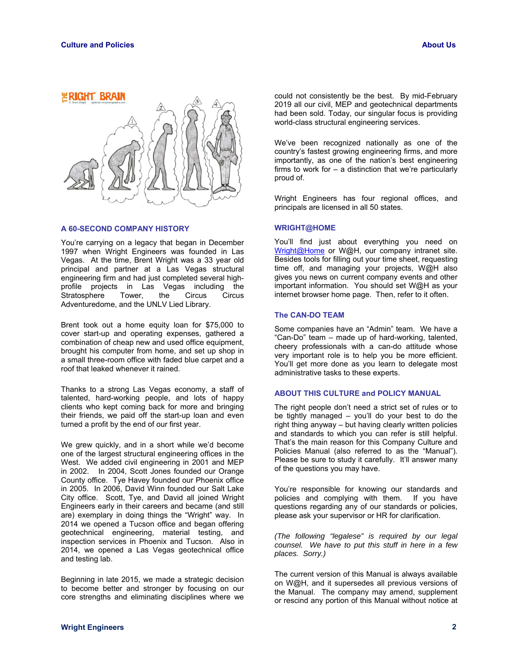

#### **A 60-SECOND COMPANY HISTORY**

You're carrying on a legacy that began in December 1997 when Wright Engineers was founded in Las Vegas. At the time, Brent Wright was a 33 year old principal and partner at a Las Vegas structural engineering firm and had just completed several highprofile projects in Las Vegas including the Stratosphere Tower, the Circus Circus Adventuredome, and the UNLV Lied Library.

Brent took out a home equity loan for \$75,000 to cover start-up and operating expenses, gathered a combination of cheap new and used office equipment, brought his computer from home, and set up shop in a small three-room office with faded blue carpet and a roof that leaked whenever it rained.

Thanks to a strong Las Vegas economy, a staff of talented, hard-working people, and lots of happy clients who kept coming back for more and bringing their friends, we paid off the start-up loan and even turned a profit by the end of our first year.

We grew quickly, and in a short while we'd become one of the largest structural engineering offices in the West. We added civil engineering in 2001 and MEP in 2002. In 2004, Scott Jones founded our Orange County office. Tye Havey founded our Phoenix office in 2005. In 2006, David Winn founded our Salt Lake City office. Scott, Tye, and David all joined Wright Engineers early in their careers and became (and still are) exemplary in doing things the "Wright" way. In 2014 we opened a Tucson office and began offering geotechnical engineering, material testing, and inspection services in Phoenix and Tucson. Also in 2014, we opened a Las Vegas geotechnical office and testing lab.

Beginning in late 2015, we made a strategic decision to become better and stronger by focusing on our core strengths and eliminating disciplines where we

could not consistently be the best. By mid-February 2019 all our civil, MEP and geotechnical departments had been sold. Today, our singular focus is providing world-class structural engineering services.

We've been recognized nationally as one of the country's fastest growing engineering firms, and more importantly, as one of the nation's best engineering firms to work for – a distinction that we're particularly proud of.

Wright Engineers has four regional offices, and principals are licensed in all 50 states.

#### **WRIGHT@HOME**

You'll find just about everything you need on Wright@Home or W@H, our company intranet site. Besides tools for filling out your time sheet, requesting time off, and managing your projects, W@H also gives you news on current company events and other important information. You should set W@H as your internet browser home page. Then, refer to it often.

#### **The CAN-DO TEAM**

Some companies have an "Admin" team. We have a "Can-Do" team – made up of hard-working, talented, cheery professionals with a can-do attitude whose very important role is to help you be more efficient. You'll get more done as you learn to delegate most administrative tasks to these experts.

#### **ABOUT THIS CULTURE and POLICY MANUAL**

The right people don't need a strict set of rules or to be tightly managed – you'll do your best to do the right thing anyway – but having clearly written policies and standards to which you can refer is still helpful. That's the main reason for this Company Culture and Policies Manual (also referred to as the "Manual"). Please be sure to study it carefully. It'll answer many of the questions you may have.

You're responsible for knowing our standards and policies and complying with them. If you have questions regarding any of our standards or policies, please ask your supervisor or HR for clarification.

*(The following "legalese" is required by our legal counsel. We have to put this stuff in here in a few places. Sorry.)* 

The current version of this Manual is always available on W@H, and it supersedes all previous versions of the Manual. The company may amend, supplement or rescind any portion of this Manual without notice at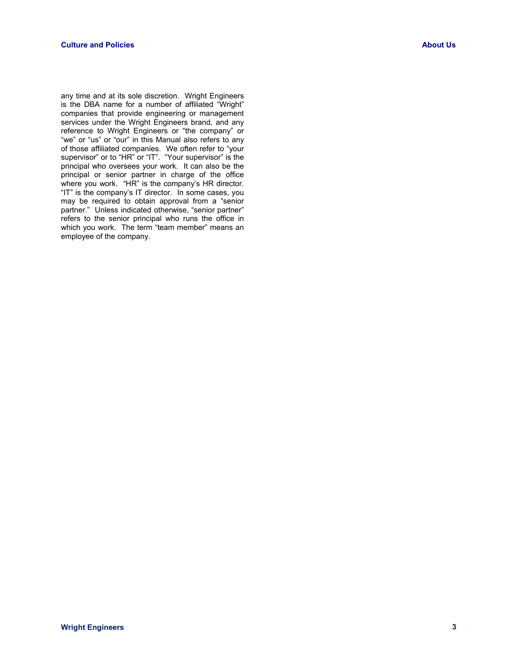any time and at its sole discretion. Wright Engineers is the DBA name for a number of affiliated "Wright" companies that provide engineering or management services under the Wright Engineers brand, and any reference to Wright Engineers or "the company" or "we" or "us" or "our" in this Manual also refers to any of those affiliated companies. We often refer to "your supervisor" or to "HR" or "IT". "Your supervisor" is the principal who oversees your work. It can also be the principal or senior partner in charge of the office where you work. "HR" is the company's HR director. "IT" is the company's IT director. In some cases, you may be required to obtain approval from a "senior partner." Unless indicated otherwise, "senior partner" refers to the senior principal who runs the office in which you work. The term "team member" means an employee of the company.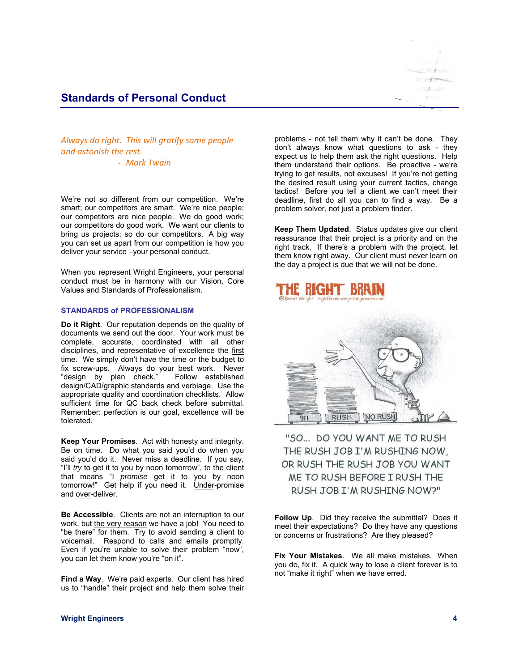### **Standards of Personal Conduct**



*Always do right. This will gratify some people and astonish the rest.* 

‐ *Mark Twain*

We're not so different from our competition. We're smart; our competitors are smart. We're nice people; our competitors are nice people. We do good work; our competitors do good work. We want our clients to bring us projects; so do our competitors. A big way you can set us apart from our competition is how you deliver your service –your personal conduct.

When you represent Wright Engineers, your personal conduct must be in harmony with our Vision, Core Values and Standards of Professionalism.

#### **STANDARDS of PROFESSIONALISM**

**Do it Right**. Our reputation depends on the quality of documents we send out the door. Your work must be complete, accurate, coordinated with all other disciplines, and representative of excellence the first time. We simply don't have the time or the budget to fix screw-ups. Always do your best work. Never<br>"design by plan check." Follow established "design by plan check." design/CAD/graphic standards and verbiage. Use the appropriate quality and coordination checklists. Allow sufficient time for QC back check before submittal. Remember: perfection is our goal, excellence will be tolerated.

**Keep Your Promises**. Act with honesty and integrity. Be on time. Do what you said you'd do when you said you'd do it. Never miss a deadline. If you say, "I'll *try* to get it to you by noon tomorrow", to the client that means "I *promise* get it to you by noon tomorrow!" Get help if you need it. Under-promise and over-deliver.

**Be Accessible**. Clients are not an interruption to our work, but the very reason we have a job! You need to "be there" for them. Try to avoid sending a client to voicemail. Respond to calls and emails promptly. Even if you're unable to solve their problem "now", you can let them know you're "on it".

**Find a Way.** We're paid experts. Our client has hired us to "handle" their project and help them solve their problems - not tell them why it can't be done. They don't always know what questions to ask - they expect us to help them ask the right questions. Help them understand their options. Be proactive - we're trying to get results, not excuses! If you're not getting the desired result using your current tactics, change tactics! Before you tell a client we can't meet their deadline, first do all you can to find a way. Be a problem solver, not just a problem finder.

**Keep Them Updated**. Status updates give our client reassurance that their project is a priority and on the right track. If there's a problem with the project, let them know right away. Our client must never learn on the day a project is due that we will not be done.





"SO... DO YOU WANT ME TO RUSH THE RUSH JOB I'M RUSHING NOW, OR RUSH THE RUSH JOB YOU WANT ME TO RUSH BEFORE I RUSH THE RUSH JOB I'M RUSHING NOW?"

**Follow Up**. Did they receive the submittal? Does it meet their expectations? Do they have any questions or concerns or frustrations? Are they pleased?

**Fix Your Mistakes**. We all make mistakes. When you do, fix it. A quick way to lose a client forever is to not "make it right" when we have erred.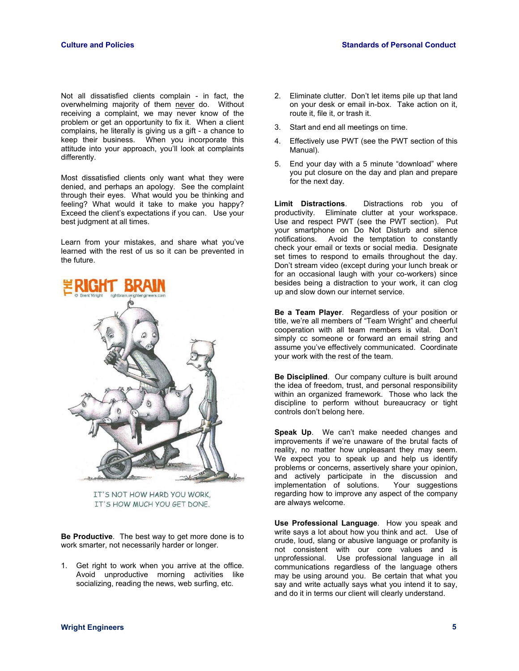Not all dissatisfied clients complain - in fact, the overwhelming majority of them never do. Without receiving a complaint, we may never know of the problem or get an opportunity to fix it. When a client complains, he literally is giving us a gift - a chance to keep their business. When you incorporate this attitude into your approach, you'll look at complaints differently.

Most dissatisfied clients only want what they were denied, and perhaps an apology. See the complaint through their eyes. What would you be thinking and feeling? What would it take to make you happy? Exceed the client's expectations if you can. Use your best judgment at all times.

Learn from your mistakes, and share what you've learned with the rest of us so it can be prevented in the future.



IT'S NOT HOW HARD YOU WORK, IT'S HOW MUCH YOU GET DONE.

**Be Productive**. The best way to get more done is to work smarter, not necessarily harder or longer.

1. Get right to work when you arrive at the office. Avoid unproductive morning activities like socializing, reading the news, web surfing, etc.

- 2. Eliminate clutter. Don't let items pile up that land on your desk or email in-box. Take action on it, route it, file it, or trash it.
- 3. Start and end all meetings on time.
- 4. Effectively use PWT (see the PWT section of this Manual).
- 5. End your day with a 5 minute "download" where you put closure on the day and plan and prepare for the next day.

**Limit Distractions**. Distractions rob you of productivity. Eliminate clutter at your workspace. Use and respect PWT (see the PWT section). Put your smartphone on Do Not Disturb and silence notifications. Avoid the temptation to constantly check your email or texts or social media. Designate set times to respond to emails throughout the day. Don't stream video (except during your lunch break or for an occasional laugh with your co-workers) since besides being a distraction to your work, it can clog up and slow down our internet service.

**Be a Team Player**. Regardless of your position or title, we're all members of "Team Wright" and cheerful cooperation with all team members is vital. Don't simply cc someone or forward an email string and assume you've effectively communicated. Coordinate your work with the rest of the team.

**Be Disciplined**. Our company culture is built around the idea of freedom, trust, and personal responsibility within an organized framework. Those who lack the discipline to perform without bureaucracy or tight controls don't belong here.

**Speak Up**. We can't make needed changes and improvements if we're unaware of the brutal facts of reality, no matter how unpleasant they may seem. We expect you to speak up and help us identify problems or concerns, assertively share your opinion, and actively participate in the discussion and implementation of solutions. Your suggestions regarding how to improve any aspect of the company are always welcome.

**Use Professional Language**. How you speak and write says a lot about how you think and act. Use of crude, loud, slang or abusive language or profanity is not consistent with our core values and is unprofessional. Use professional language in all communications regardless of the language others may be using around you. Be certain that what you say and write actually says what you intend it to say, and do it in terms our client will clearly understand.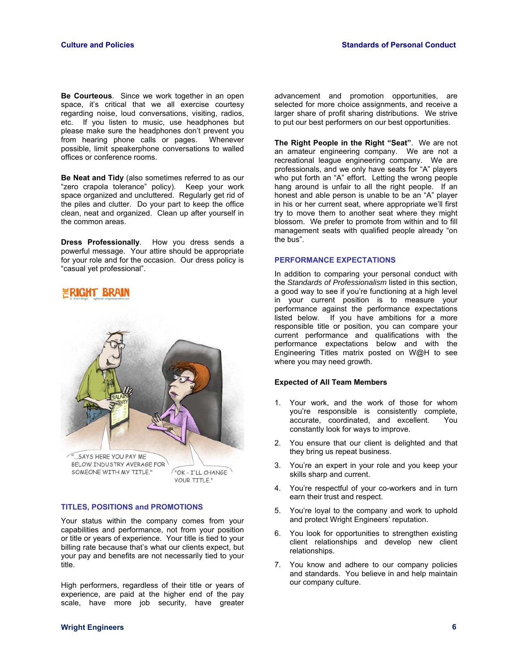**Be Courteous**. Since we work together in an open space, it's critical that we all exercise courtesy regarding noise, loud conversations, visiting, radios, etc. If you listen to music, use headphones but please make sure the headphones don't prevent you<br>from hearing phone calls or pages. Whenever from hearing phone calls or pages. possible, limit speakerphone conversations to walled offices or conference rooms.

**Be Neat and Tidy** (also sometimes referred to as our "zero crapola tolerance" policy). Keep your work space organized and uncluttered. Regularly get rid of the piles and clutter. Do your part to keep the office clean, neat and organized. Clean up after yourself in the common areas.

**Dress Professionally**. How you dress sends a powerful message. Your attire should be appropriate for your role and for the occasion. Our dress policy is "casual yet professional".



**TITLES, POSITIONS and PROMOTIONS** 

Your status within the company comes from your capabilities and performance, not from your position or title or years of experience. Your title is tied to your billing rate because that's what our clients expect, but your pay and benefits are not necessarily tied to your title.

**YOUR TITLE."** 

High performers, regardless of their title or years of experience, are paid at the higher end of the pay scale, have more job security, have greater

advancement and promotion opportunities, are selected for more choice assignments, and receive a larger share of profit sharing distributions. We strive to put our best performers on our best opportunities.

**The Right People in the Right "Seat"**. We are not an amateur engineering company. We are not a recreational league engineering company. We are professionals, and we only have seats for "A" players who put forth an "A" effort. Letting the wrong people hang around is unfair to all the right people. If an honest and able person is unable to be an "A" player in his or her current seat, where appropriate we'll first try to move them to another seat where they might blossom. We prefer to promote from within and to fill management seats with qualified people already "on the bus".

#### **PERFORMANCE EXPECTATIONS**

In addition to comparing your personal conduct with the *Standards of Professionalism* listed in this section, a good way to see if you're functioning at a high level in your current position is to measure your performance against the performance expectations listed below. If you have ambitions for a more responsible title or position, you can compare your current performance and qualifications with the performance expectations below and with the Engineering Titles matrix posted on W@H to see where you may need growth.

#### **Expected of All Team Members**

- 1. Your work, and the work of those for whom you're responsible is consistently complete, accurate, coordinated, and excellent. You constantly look for ways to improve.
- 2. You ensure that our client is delighted and that they bring us repeat business.
- 3. You're an expert in your role and you keep your skills sharp and current.
- 4. You're respectful of your co-workers and in turn earn their trust and respect.
- 5. You're loyal to the company and work to uphold and protect Wright Engineers' reputation.
- 6. You look for opportunities to strengthen existing client relationships and develop new client relationships.
- 7. You know and adhere to our company policies and standards. You believe in and help maintain our company culture.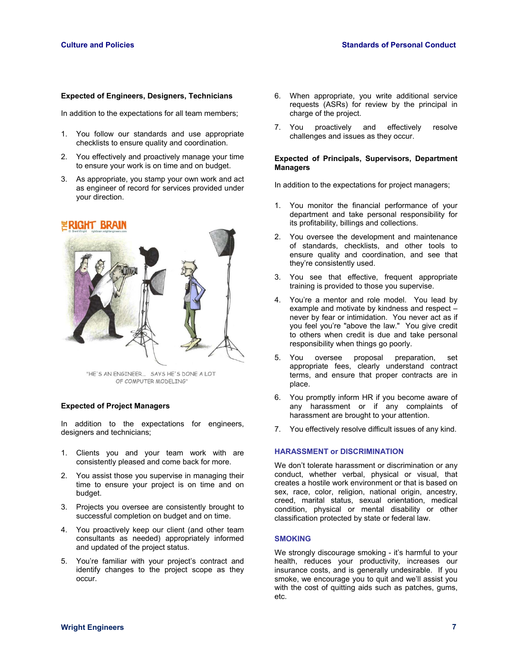#### **Expected of Engineers, Designers, Technicians**

In addition to the expectations for all team members;

- 1. You follow our standards and use appropriate checklists to ensure quality and coordination.
- 2. You effectively and proactively manage your time to ensure your work is on time and on budget.
- 3. As appropriate, you stamp your own work and act as engineer of record for services provided under your direction.

#### **RIGHT BRAIN**



"HE'S AN ENGINEER... SAYS HE'S DONE A LOT OF COMPUTER MODELING"

#### **Expected of Project Managers**

In addition to the expectations for engineers, designers and technicians;

- 1. Clients you and your team work with are consistently pleased and come back for more.
- 2. You assist those you supervise in managing their time to ensure your project is on time and on budget.
- 3. Projects you oversee are consistently brought to successful completion on budget and on time.
- 4. You proactively keep our client (and other team consultants as needed) appropriately informed and updated of the project status.
- 5. You're familiar with your project's contract and identify changes to the project scope as they occur.
- 6. When appropriate, you write additional service requests (ASRs) for review by the principal in charge of the project.
- 7. You proactively and effectively resolve challenges and issues as they occur.

#### **Expected of Principals, Supervisors, Department Managers**

In addition to the expectations for project managers;

- 1. You monitor the financial performance of your department and take personal responsibility for its profitability, billings and collections.
- 2. You oversee the development and maintenance of standards, checklists, and other tools to ensure quality and coordination, and see that they're consistently used.
- 3. You see that effective, frequent appropriate training is provided to those you supervise.
- 4. You're a mentor and role model. You lead by example and motivate by kindness and respect – never by fear or intimidation. You never act as if you feel you're "above the law." You give credit to others when credit is due and take personal responsibility when things go poorly.
- 5. You oversee proposal preparation, set appropriate fees, clearly understand contract terms, and ensure that proper contracts are in place.
- 6. You promptly inform HR if you become aware of any harassment or if any complaints of harassment are brought to your attention.
- 7. You effectively resolve difficult issues of any kind.

#### **HARASSMENT or DISCRIMINATION**

We don't tolerate harassment or discrimination or any conduct, whether verbal, physical or visual, that creates a hostile work environment or that is based on sex, race, color, religion, national origin, ancestry, creed, marital status, sexual orientation, medical condition, physical or mental disability or other classification protected by state or federal law.

#### **SMOKING**

We strongly discourage smoking - it's harmful to your health, reduces your productivity, increases our insurance costs, and is generally undesirable. If you smoke, we encourage you to quit and we'll assist you with the cost of quitting aids such as patches, gums, etc.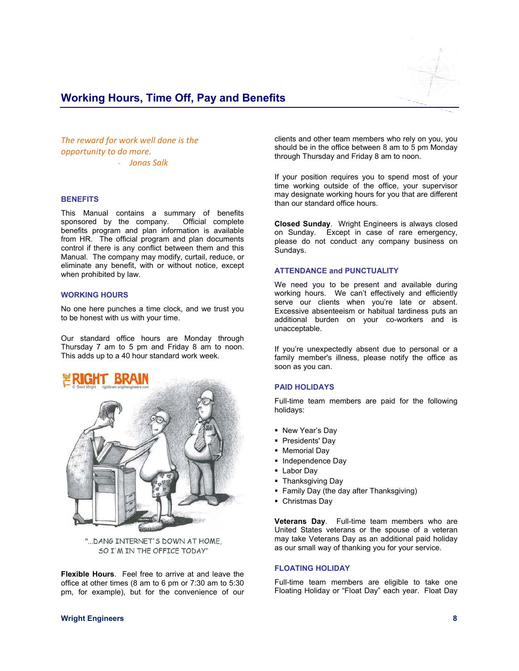

## **Working Hours, Time Off, Pay and Benefits**

*The reward for work well done is the opportunity to do more.*  ‐ *Jonas Salk*

#### **BENEFITS**

This Manual contains a summary of benefits sponsored by the company. Official complete benefits program and plan information is available from HR. The official program and plan documents control if there is any conflict between them and this Manual. The company may modify, curtail, reduce, or eliminate any benefit, with or without notice, except when prohibited by law.

#### **WORKING HOURS**

No one here punches a time clock, and we trust you to be honest with us with your time.

Our standard office hours are Monday through Thursday 7 am to 5 pm and Friday 8 am to noon. This adds up to a 40 hour standard work week.



"... DANG INTERNET'S DOWN AT HOME, SO I'M IN THE OFFICE TODAY"

**Flexible Hours**. Feel free to arrive at and leave the office at other times (8 am to 6 pm or 7:30 am to 5:30 pm, for example), but for the convenience of our clients and other team members who rely on you, you should be in the office between 8 am to 5 pm Monday through Thursday and Friday 8 am to noon.

If your position requires you to spend most of your time working outside of the office, your supervisor may designate working hours for you that are different than our standard office hours.

**Closed Sunday**. Wright Engineers is always closed on Sunday. Except in case of rare emergency, please do not conduct any company business on Sundays.

#### **ATTENDANCE and PUNCTUALITY**

We need you to be present and available during working hours. We can't effectively and efficiently serve our clients when you're late or absent. Excessive absenteeism or habitual tardiness puts an additional burden on your co-workers and is unacceptable.

If you're unexpectedly absent due to personal or a family member's illness, please notify the office as soon as you can.

#### **PAID HOLIDAYS**

Full-time team members are paid for the following holidays:

- New Year's Day
- **Presidents' Day**
- Memorial Day
- Independence Day
- **Labor Day**
- **Thanksgiving Day**
- **Family Day (the day after Thanksgiving)**
- Christmas Day

**Veterans Day**. Full-time team members who are United States veterans or the spouse of a veteran may take Veterans Day as an additional paid holiday as our small way of thanking you for your service.

#### **FLOATING HOLIDAY**

Full-time team members are eligible to take one Floating Holiday or "Float Day" each year. Float Day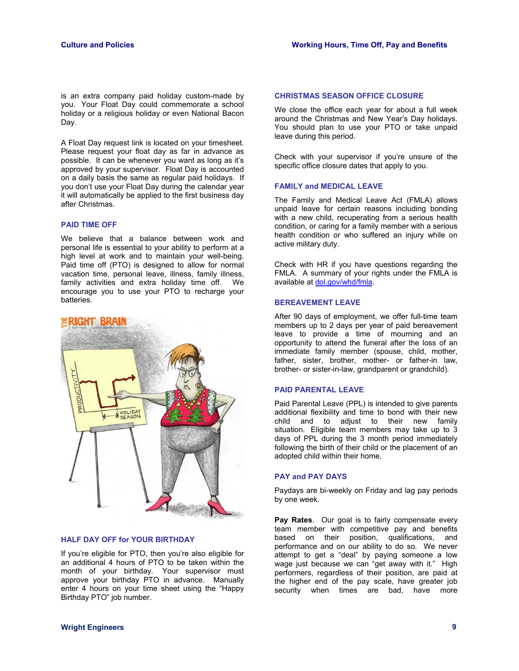is an extra company paid holiday custom-made by you. Your Float Day could commemorate a school holiday or a religious holiday or even National Bacon Day.

A Float Day request link is located on your timesheet. Please request your float day as far in advance as possible. It can be whenever you want as long as it's approved by your supervisor. Float Day is accounted on a daily basis the same as regular paid holidays. If you don't use your Float Day during the calendar year it will automatically be applied to the first business day after Christmas.

#### **PAID TIME OFF**

We believe that a balance between work and personal life is essential to your ability to perform at a high level at work and to maintain your well-being. Paid time off (PTO) is designed to allow for normal vacation time, personal leave, illness, family illness, family activities and extra holiday time off. We encourage you to use your PTO to recharge your batteries.



#### **HALF DAY OFF for YOUR BIRTHDAY**

If you're eligible for PTO, then you're also eligible for an additional 4 hours of PTO to be taken within the month of your birthday. Your supervisor must approve your birthday PTO in advance. Manually enter 4 hours on your time sheet using the "Happy Birthday PTO" job number.

#### **CHRISTMAS SEASON OFFICE CLOSURE**

We close the office each year for about a full week around the Christmas and New Year's Day holidays. You should plan to use your PTO or take unpaid leave during this period.

Check with your supervisor if you're unsure of the specific office closure dates that apply to you.

#### **FAMILY and MEDICAL LEAVE**

The Family and Medical Leave Act (FMLA) allows unpaid leave for certain reasons including bonding with a new child, recuperating from a serious health condition, or caring for a family member with a serious health condition or who suffered an injury while on active military duty.

Check with HR if you have questions regarding the FMLA. A summary of your rights under the FMLA is available at dol.gov/whd/fmla.

#### **BEREAVEMENT LEAVE**

After 90 days of employment, we offer full-time team members up to 2 days per year of paid bereavement leave to provide a time of mourning and an opportunity to attend the funeral after the loss of an immediate family member (spouse, child, mother, father, sister, brother, mother- or father-in law, brother- or sister-in-law, grandparent or grandchild).

#### **PAID PARENTAL LEAVE**

Paid Parental Leave (PPL) is intended to give parents additional flexibility and time to bond with their new child and to adjust to their new family situation. Eligible team members may take up to 3 days of PPL during the 3 month period immediately following the birth of their child or the placement of an adopted child within their home.

#### **PAY and PAY DAYS**

Paydays are bi-weekly on Friday and lag pay periods by one week.

**Pay Rates**. Our goal is to fairly compensate every team member with competitive pay and benefits based on their position, qualifications, and performance and on our ability to do so. We never attempt to get a "deal" by paying someone a low wage just because we can "get away with it." High performers, regardless of their position, are paid at the higher end of the pay scale, have greater job security when times are bad, have more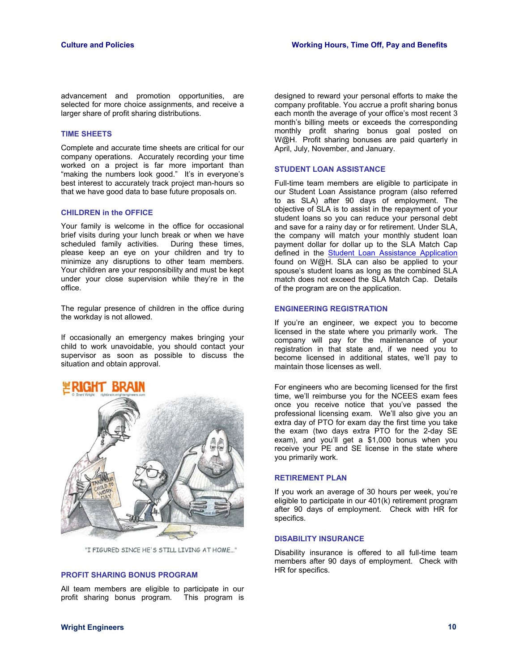advancement and promotion opportunities, are selected for more choice assignments, and receive a larger share of profit sharing distributions.

#### **TIME SHEETS**

Complete and accurate time sheets are critical for our company operations. Accurately recording your time worked on a project is far more important than "making the numbers look good." It's in everyone's best interest to accurately track project man-hours so that we have good data to base future proposals on.

#### **CHILDREN in the OFFICE**

Your family is welcome in the office for occasional brief visits during your lunch break or when we have scheduled family activities. During these times, please keep an eye on your children and try to minimize any disruptions to other team members. Your children are your responsibility and must be kept under your close supervision while they're in the office.

The regular presence of children in the office during the workday is not allowed.

If occasionally an emergency makes bringing your child to work unavoidable, you should contact your supervisor as soon as possible to discuss the situation and obtain approval.



"I FIGURED SINCE HE'S STILL LIVING AT HOME..."

#### **PROFIT SHARING BONUS PROGRAM**

All team members are eligible to participate in our profit sharing bonus program. This program is

designed to reward your personal efforts to make the company profitable. You accrue a profit sharing bonus each month the average of your office's most recent 3 month's billing meets or exceeds the corresponding monthly profit sharing bonus goal posted on W@H. Profit sharing bonuses are paid quarterly in April, July, November, and January.

#### **STUDENT LOAN ASSISTANCE**

Full-time team members are eligible to participate in our Student Loan Assistance program (also referred to as SLA) after 90 days of employment. The objective of SLA is to assist in the repayment of your student loans so you can reduce your personal debt and save for a rainy day or for retirement. Under SLA, the company will match your monthly student loan payment dollar for dollar up to the SLA Match Cap defined in the Student Loan Assistance Application found on W@H. SLA can also be applied to your spouse's student loans as long as the combined SLA match does not exceed the SLA Match Cap. Details of the program are on the application.

#### **ENGINEERING REGISTRATION**

If you're an engineer, we expect you to become licensed in the state where you primarily work. The company will pay for the maintenance of your registration in that state and, if we need you to become licensed in additional states, we'll pay to maintain those licenses as well.

For engineers who are becoming licensed for the first time, we'll reimburse you for the NCEES exam fees once you receive notice that you've passed the professional licensing exam. We'll also give you an extra day of PTO for exam day the first time you take the exam (two days extra PTO for the 2-day SE exam), and you'll get a \$1,000 bonus when you receive your PE and SE license in the state where you primarily work.

#### **RETIREMENT PLAN**

If you work an average of 30 hours per week, you're eligible to participate in our 401(k) retirement program after 90 days of employment. Check with HR for specifics.

#### **DISABILITY INSURANCE**

Disability insurance is offered to all full-time team members after 90 days of employment. Check with HR for specifics.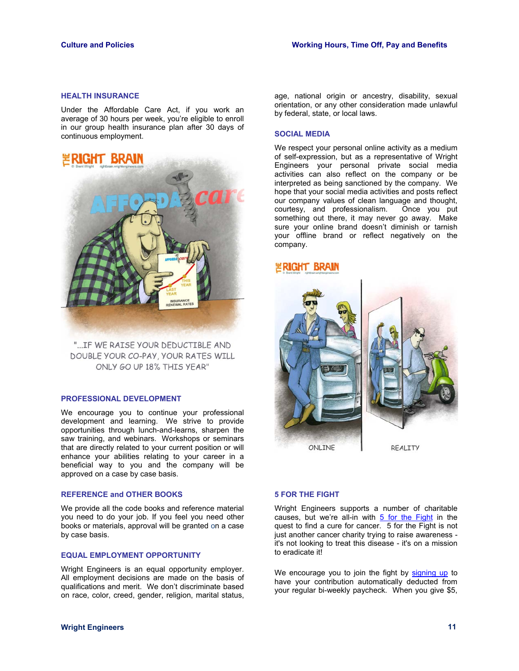#### **HEALTH INSURANCE**

Under the Affordable Care Act, if you work an average of 30 hours per week, you're eligible to enroll in our group health insurance plan after 30 days of continuous employment.



"... IF WE RAISE YOUR DEDUCTIBLE AND DOUBLE YOUR CO-PAY, YOUR RATES WILL ONLY GO UP 18% THIS YEAR"

#### **PROFESSIONAL DEVELOPMENT**

We encourage you to continue your professional development and learning. We strive to provide opportunities through lunch-and-learns, sharpen the saw training, and webinars. Workshops or seminars that are directly related to your current position or will enhance your abilities relating to your career in a beneficial way to you and the company will be approved on a case by case basis.

#### **REFERENCE and OTHER BOOKS**

We provide all the code books and reference material you need to do your job. If you feel you need other books or materials, approval will be granted on a case by case basis.

#### **EQUAL EMPLOYMENT OPPORTUNITY**

Wright Engineers is an equal opportunity employer. All employment decisions are made on the basis of qualifications and merit. We don't discriminate based on race, color, creed, gender, religion, marital status,

age, national origin or ancestry, disability, sexual orientation, or any other consideration made unlawful by federal, state, or local laws.

#### **SOCIAL MEDIA**

We respect your personal online activity as a medium of self-expression, but as a representative of Wright Engineers your personal private social media activities can also reflect on the company or be interpreted as being sanctioned by the company. We hope that your social media activities and posts reflect our company values of clean language and thought, courtesy, and professionalism. Once you put something out there, it may never go away. Make sure your online brand doesn't diminish or tarnish your offline brand or reflect negatively on the company.

### RIGHT BRAIN



#### **5 FOR THE FIGHT**

Wright Engineers supports a number of charitable causes, but we're all-in with 5 for the Fight in the quest to find a cure for cancer.  $\overline{5}$  for the Fight is not just another cancer charity trying to raise awareness it's not looking to treat this disease - it's on a mission to eradicate it!

We encourage you to join the fight by signing up to have your contribution automatically deducted from your regular bi-weekly paycheck. When you give \$5,